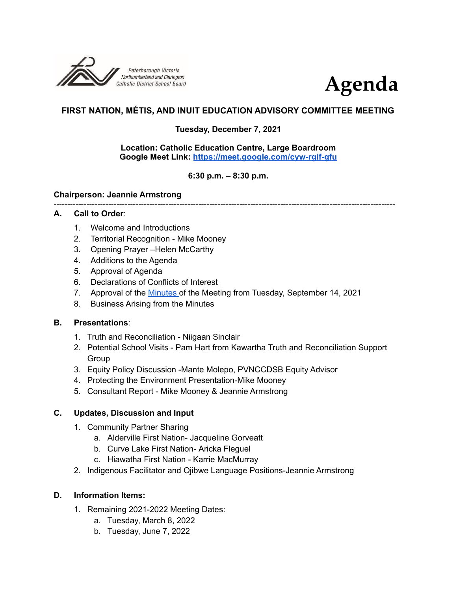



# **FIRST NATION, MÉTIS, AND INUIT EDUCATION ADVISORY COMMITTEE MEETING**

# **Tuesday, December 7, 2021**

#### **Location: Catholic Education Centre, Large Boardroom Google Meet Link: <https://meet.google.com/cyw-rgif-gfu>**

# **6:30 p.m. – 8:30 p.m.**

#### **Chairperson: Jeannie Armstrong**

### -----------------------------------------------------------------------------------------------------------------------------

### **A. Call to Order**:

- 1. Welcome and Introductions
- 2. Territorial Recognition Mike Mooney
- 3. Opening Prayer –Helen McCarthy
- 4. Additions to the Agenda
- 5. Approval of Agenda
- 6. Declarations of Conflicts of Interest
- 7. Approval of the [Minutes](https://drive.google.com/file/d/18M6rRshHmqW2n3sl6fsp4ajync03CVIA/view?usp=sharing) of the Meeting from Tuesday, September 14, 2021
- 8. Business Arising from the Minutes

### **B. Presentations**:

- 1. Truth and Reconciliation Niigaan Sinclair
- 2. Potential School Visits Pam Hart from Kawartha Truth and Reconciliation Support Group
- 3. Equity Policy Discussion -Mante Molepo, PVNCCDSB Equity Advisor
- 4. Protecting the Environment Presentation-Mike Mooney
- 5. Consultant Report Mike Mooney & Jeannie Armstrong

### **C. Updates, Discussion and Input**

- 1. Community Partner Sharing
	- a. Alderville First Nation- Jacqueline Gorveatt
	- b. Curve Lake First Nation- Aricka Fleguel
	- c. Hiawatha First Nation Karrie MacMurray
- 2. Indigenous Facilitator and Ojibwe Language Positions-Jeannie Armstrong

### **D. Information Items:**

- 1. Remaining 2021-2022 Meeting Dates:
	- a. Tuesday, March 8, 2022
	- b. Tuesday, June 7, 2022